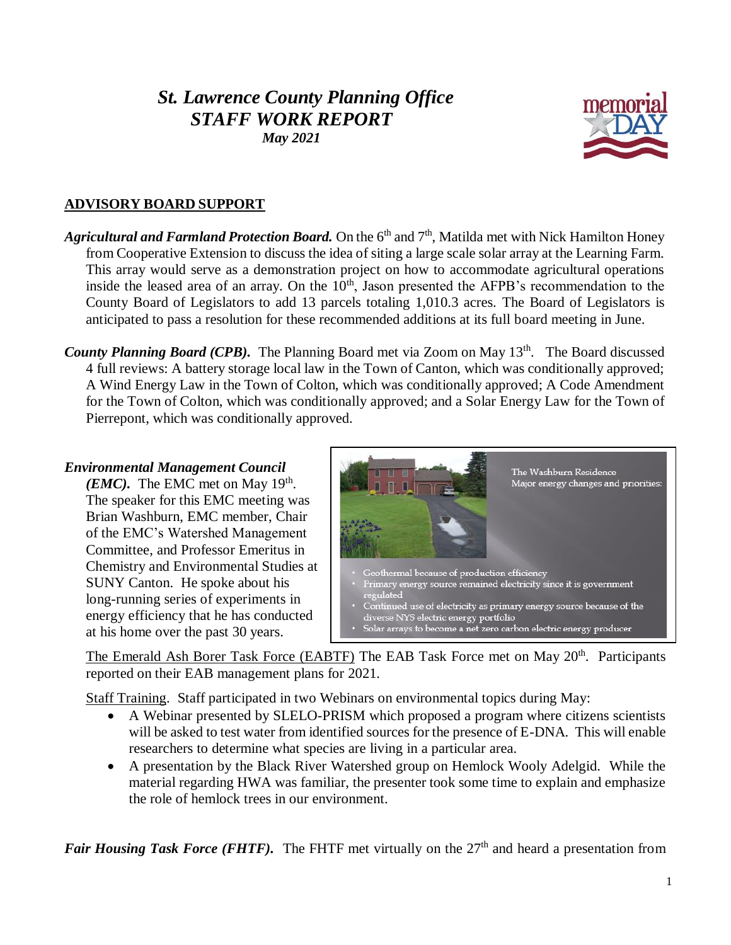# *St. Lawrence County Planning Office STAFF WORK REPORT May 2021*



# **ADVISORY BOARD SUPPORT**

- Agricultural and Farmland Protection Board. On the 6<sup>th</sup> and 7<sup>th</sup>, Matilda met with Nick Hamilton Honey from Cooperative Extension to discuss the idea of siting a large scale solar array at the Learning Farm. This array would serve as a demonstration project on how to accommodate agricultural operations inside the leased area of an array. On the  $10<sup>th</sup>$ , Jason presented the AFPB's recommendation to the County Board of Legislators to add 13 parcels totaling 1,010.3 acres. The Board of Legislators is anticipated to pass a resolution for these recommended additions at its full board meeting in June.
- County Planning Board (CPB). The Planning Board met via Zoom on May 13<sup>th</sup>. The Board discussed 4 full reviews: A battery storage local law in the Town of Canton, which was conditionally approved; A Wind Energy Law in the Town of Colton, which was conditionally approved; A Code Amendment for the Town of Colton, which was conditionally approved; and a Solar Energy Law for the Town of Pierrepont, which was conditionally approved.

#### *Environmental Management Council*

*(EMC)*. The EMC met on May 19<sup>th</sup>. The speaker for this EMC meeting was Brian Washburn, EMC member, Chair of the EMC's Watershed Management Committee, and Professor Emeritus in Chemistry and Environmental Studies at SUNY Canton. He spoke about his long-running series of experiments in energy efficiency that he has conducted at his home over the past 30 years.



The Emerald Ash Borer Task Force (EABTF) The EAB Task Force met on May 20<sup>th</sup>. Participants reported on their EAB management plans for 2021.

Staff Training. Staff participated in two Webinars on environmental topics during May:

- A Webinar presented by SLELO-PRISM which proposed a program where citizens scientists will be asked to test water from identified sources for the presence of E-DNA. This will enable researchers to determine what species are living in a particular area.
- A presentation by the Black River Watershed group on Hemlock Wooly Adelgid. While the material regarding HWA was familiar, the presenter took some time to explain and emphasize the role of hemlock trees in our environment.

*Fair Housing Task Force (FHTF).* The FHTF met virtually on the 27<sup>th</sup> and heard a presentation from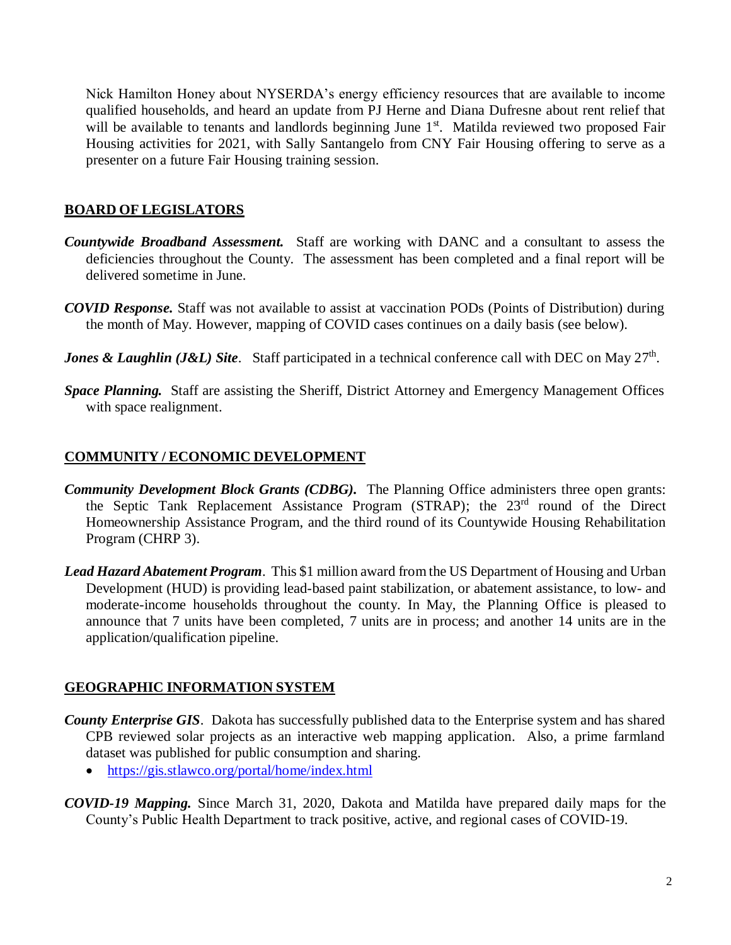Nick Hamilton Honey about NYSERDA's energy efficiency resources that are available to income qualified households, and heard an update from PJ Herne and Diana Dufresne about rent relief that will be available to tenants and landlords beginning June 1<sup>st</sup>. Matilda reviewed two proposed Fair Housing activities for 2021, with Sally Santangelo from CNY Fair Housing offering to serve as a presenter on a future Fair Housing training session.

## **BOARD OF LEGISLATORS**

- *Countywide Broadband Assessment.* Staff are working with DANC and a consultant to assess the deficiencies throughout the County. The assessment has been completed and a final report will be delivered sometime in June.
- *COVID Response.* Staff was not available to assist at vaccination PODs (Points of Distribution) during the month of May. However, mapping of COVID cases continues on a daily basis (see below).
- *Jones & Laughlin (J&L) Site.* Staff participated in a technical conference call with DEC on May 27<sup>th</sup>.
- *Space Planning.* Staff are assisting the Sheriff, District Attorney and Emergency Management Offices with space realignment.

### **COMMUNITY / ECONOMIC DEVELOPMENT**

- *Community Development Block Grants (CDBG).* The Planning Office administers three open grants: the Septic Tank Replacement Assistance Program (STRAP); the 23<sup>rd</sup> round of the Direct Homeownership Assistance Program, and the third round of its Countywide Housing Rehabilitation Program (CHRP 3).
- *Lead Hazard Abatement Program*. This \$1 million award from the US Department of Housing and Urban Development (HUD) is providing lead-based paint stabilization, or abatement assistance, to low- and moderate-income households throughout the county. In May, the Planning Office is pleased to announce that 7 units have been completed, 7 units are in process; and another 14 units are in the application/qualification pipeline.

### **GEOGRAPHIC INFORMATION SYSTEM**

- *County Enterprise GIS*. Dakota has successfully published data to the Enterprise system and has shared CPB reviewed solar projects as an interactive web mapping application. Also, a prime farmland dataset was published for public consumption and sharing.
	- <https://gis.stlawco.org/portal/home/index.html>
- *COVID-19 Mapping.* Since March 31, 2020, Dakota and Matilda have prepared daily maps for the County's Public Health Department to track positive, active, and regional cases of COVID-19.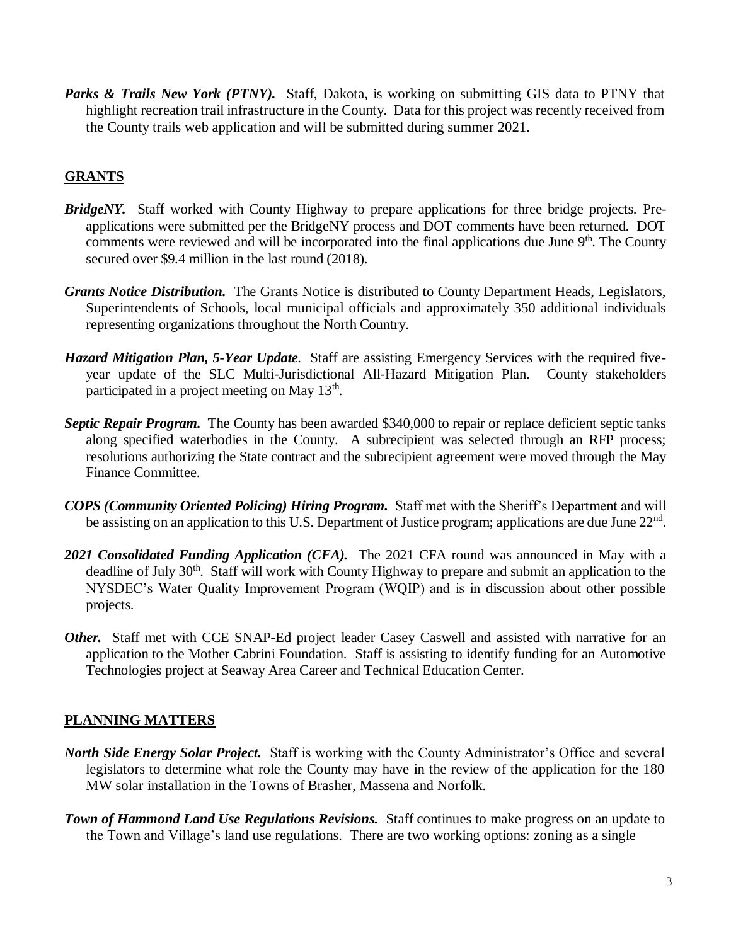Parks & Trails New York (PTNY). Staff, Dakota, is working on submitting GIS data to PTNY that highlight recreation trail infrastructure in the County. Data for this project was recently received from the County trails web application and will be submitted during summer 2021.

## **GRANTS**

- *BridgeNY.* Staff worked with County Highway to prepare applications for three bridge projects. Preapplications were submitted per the BridgeNY process and DOT comments have been returned. DOT comments were reviewed and will be incorporated into the final applications due June  $9<sup>th</sup>$ . The County secured over \$9.4 million in the last round (2018).
- *Grants Notice Distribution.* The Grants Notice is distributed to County Department Heads, Legislators, Superintendents of Schools, local municipal officials and approximately 350 additional individuals representing organizations throughout the North Country.
- *Hazard Mitigation Plan, 5-Year Update*. Staff are assisting Emergency Services with the required fiveyear update of the SLC Multi-Jurisdictional All-Hazard Mitigation Plan. County stakeholders participated in a project meeting on May 13<sup>th</sup>.
- *Septic Repair Program.* The County has been awarded \$340,000 to repair or replace deficient septic tanks along specified waterbodies in the County. A subrecipient was selected through an RFP process; resolutions authorizing the State contract and the subrecipient agreement were moved through the May Finance Committee.
- *COPS (Community Oriented Policing) Hiring Program.* Staff met with the Sheriff's Department and will be assisting on an application to this U.S. Department of Justice program; applications are due June 22<sup>nd</sup>.
- 2021 Consolidated Funding Application (CFA). The 2021 CFA round was announced in May with a deadline of July 30<sup>th</sup>. Staff will work with County Highway to prepare and submit an application to the NYSDEC's Water Quality Improvement Program (WQIP) and is in discussion about other possible projects.
- *Other.* Staff met with CCE SNAP-Ed project leader Casey Caswell and assisted with narrative for an application to the Mother Cabrini Foundation. Staff is assisting to identify funding for an Automotive Technologies project at Seaway Area Career and Technical Education Center.

### **PLANNING MATTERS**

- *North Side Energy Solar Project.* Staff is working with the County Administrator's Office and several legislators to determine what role the County may have in the review of the application for the 180 MW solar installation in the Towns of Brasher, Massena and Norfolk.
- *Town of Hammond Land Use Regulations Revisions.* Staff continues to make progress on an update to the Town and Village's land use regulations. There are two working options: zoning as a single